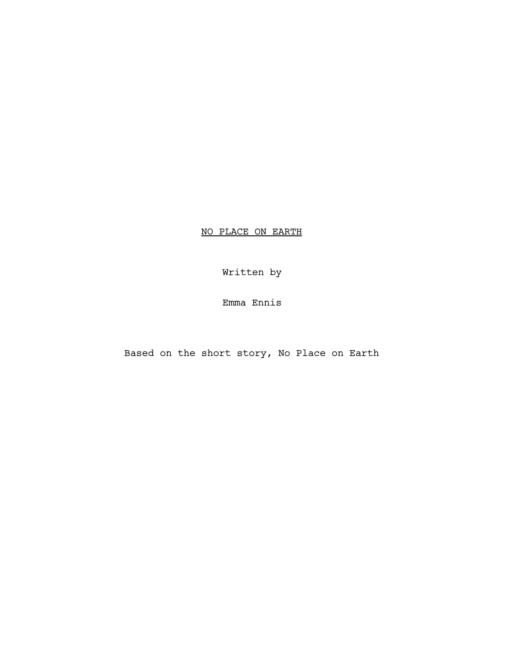NO PLACE ON EARTH

Written by

Emma Ennis

Based on the short story, No Place on Earth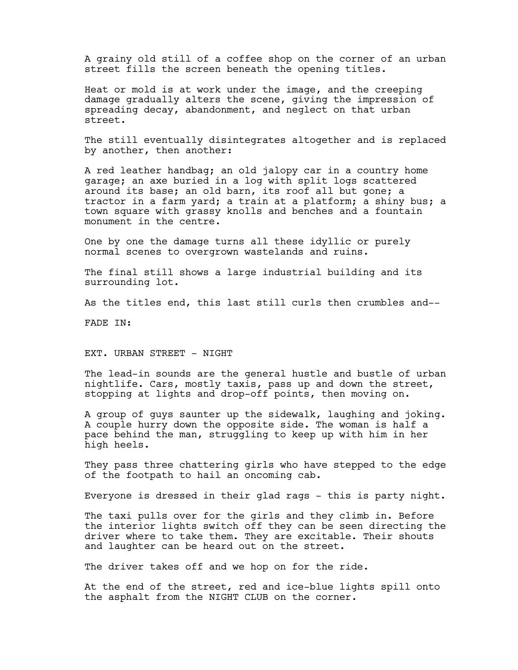A grainy old still of a coffee shop on the corner of an urban street fills the screen beneath the opening titles.

Heat or mold is at work under the image, and the creeping damage gradually alters the scene, giving the impression of spreading decay, abandonment, and neglect on that urban street.

The still eventually disintegrates altogether and is replaced by another, then another:

A red leather handbag; an old jalopy car in a country home garage; an axe buried in a log with split logs scattered around its base; an old barn, its roof all but gone; a tractor in a farm yard; a train at a platform; a shiny bus; a town square with grassy knolls and benches and a fountain monument in the centre.

One by one the damage turns all these idyllic or purely normal scenes to overgrown wastelands and ruins.

The final still shows a large industrial building and its surrounding lot.

As the titles end, this last still curls then crumbles and--

FADE IN:

EXT. URBAN STREET - NIGHT

The lead-in sounds are the general hustle and bustle of urban nightlife. Cars, mostly taxis, pass up and down the street, stopping at lights and drop-off points, then moving on.

A group of guys saunter up the sidewalk, laughing and joking. A couple hurry down the opposite side. The woman is half a pace behind the man, struggling to keep up with him in her high heels.

They pass three chattering girls who have stepped to the edge of the footpath to hail an oncoming cab.

Everyone is dressed in their glad rags - this is party night.

The taxi pulls over for the girls and they climb in. Before the interior lights switch off they can be seen directing the driver where to take them. They are excitable. Their shouts and laughter can be heard out on the street.

The driver takes off and we hop on for the ride.

At the end of the street, red and ice-blue lights spill onto the asphalt from the NIGHT CLUB on the corner.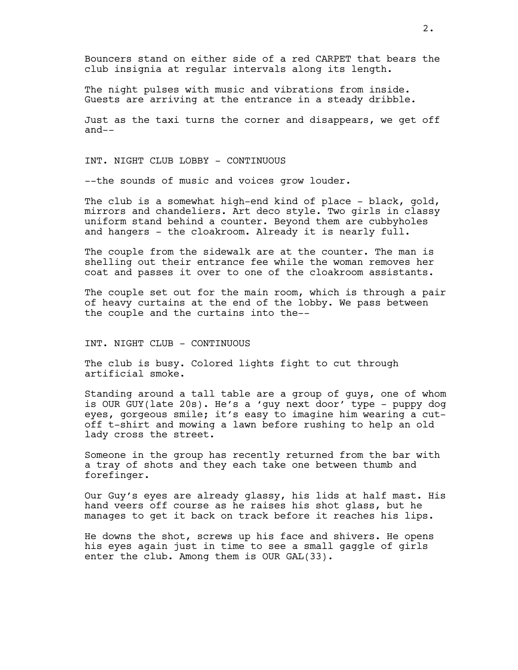Bouncers stand on either side of a red CARPET that bears the club insignia at regular intervals along its length.

The night pulses with music and vibrations from inside. Guests are arriving at the entrance in a steady dribble.

Just as the taxi turns the corner and disappears, we get off and--

INT. NIGHT CLUB LOBBY - CONTINUOUS

--the sounds of music and voices grow louder.

The club is a somewhat high-end kind of place - black, gold, mirrors and chandeliers. Art deco style. Two girls in classy uniform stand behind a counter. Beyond them are cubbyholes and hangers - the cloakroom. Already it is nearly full.

The couple from the sidewalk are at the counter. The man is shelling out their entrance fee while the woman removes her coat and passes it over to one of the cloakroom assistants.

The couple set out for the main room, which is through a pair of heavy curtains at the end of the lobby. We pass between the couple and the curtains into the--

INT. NIGHT CLUB - CONTINUOUS

The club is busy. Colored lights fight to cut through artificial smoke.

Standing around a tall table are a group of guys, one of whom is OUR GUY(late 20s). He's a 'guy next door' type - puppy dog eyes, gorgeous smile; it's easy to imagine him wearing a cutoff t-shirt and mowing a lawn before rushing to help an old lady cross the street.

Someone in the group has recently returned from the bar with a tray of shots and they each take one between thumb and forefinger.

Our Guy's eyes are already glassy, his lids at half mast. His hand veers off course as he raises his shot glass, but he manages to get it back on track before it reaches his lips.

He downs the shot, screws up his face and shivers. He opens his eyes again just in time to see a small gaggle of girls enter the club. Among them is OUR GAL(33).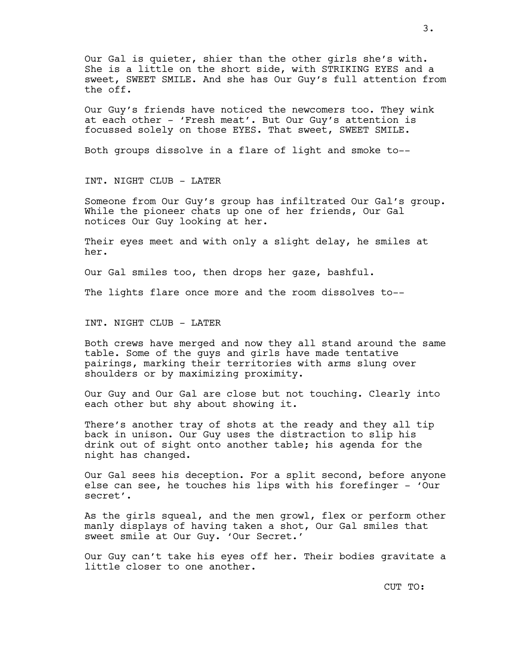Our Gal is quieter, shier than the other girls she's with. She is a little on the short side, with STRIKING EYES and a sweet, SWEET SMILE. And she has Our Guy's full attention from the off.

Our Guy's friends have noticed the newcomers too. They wink at each other - 'Fresh meat'. But Our Guy's attention is focussed solely on those EYES. That sweet, SWEET SMILE.

Both groups dissolve in a flare of light and smoke to--

INT. NIGHT CLUB - LATER

Someone from Our Guy's group has infiltrated Our Gal's group. While the pioneer chats up one of her friends, Our Gal notices Our Guy looking at her.

Their eyes meet and with only a slight delay, he smiles at her.

Our Gal smiles too, then drops her gaze, bashful.

The lights flare once more and the room dissolves to--

INT. NIGHT CLUB - LATER

Both crews have merged and now they all stand around the same table. Some of the guys and girls have made tentative pairings, marking their territories with arms slung over shoulders or by maximizing proximity.

Our Guy and Our Gal are close but not touching. Clearly into each other but shy about showing it.

There's another tray of shots at the ready and they all tip back in unison. Our Guy uses the distraction to slip his drink out of sight onto another table; his agenda for the night has changed.

Our Gal sees his deception. For a split second, before anyone else can see, he touches his lips with his forefinger - 'Our secret'.

As the girls squeal, and the men growl, flex or perform other manly displays of having taken a shot, Our Gal smiles that sweet smile at Our Guy. 'Our Secret.'

Our Guy can't take his eyes off her. Their bodies gravitate a little closer to one another.

3.

CUT TO: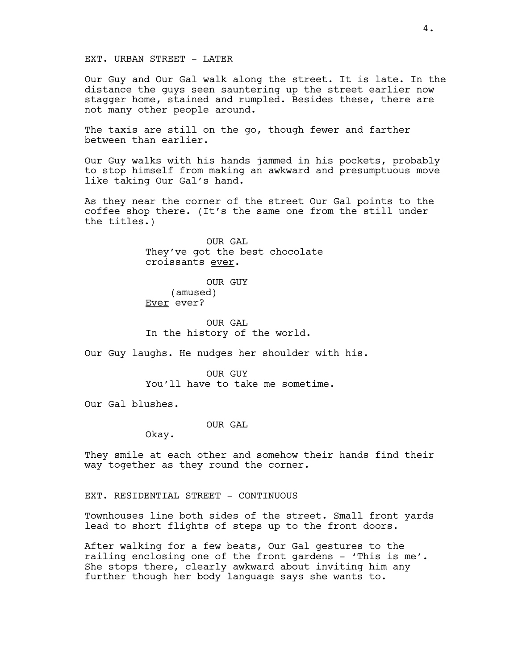## EXT. URBAN STREET - LATER

Our Guy and Our Gal walk along the street. It is late. In the distance the guys seen sauntering up the street earlier now stagger home, stained and rumpled. Besides these, there are not many other people around.

The taxis are still on the go, though fewer and farther between than earlier.

Our Guy walks with his hands jammed in his pockets, probably to stop himself from making an awkward and presumptuous move like taking Our Gal's hand.

As they near the corner of the street Our Gal points to the coffee shop there. (It's the same one from the still under the titles.)

> OUR GAL They've got the best chocolate croissants ever.

OUR GUY (amused) Ever ever?

OUR GAL In the history of the world.

Our Guy laughs. He nudges her shoulder with his.

OUR GUY You'll have to take me sometime.

Our Gal blushes.

OUR GAL

Okay.

They smile at each other and somehow their hands find their way together as they round the corner.

EXT. RESIDENTIAL STREET - CONTINUOUS

Townhouses line both sides of the street. Small front yards lead to short flights of steps up to the front doors.

After walking for a few beats, Our Gal gestures to the railing enclosing one of the front gardens - 'This is me'. She stops there, clearly awkward about inviting him any further though her body language says she wants to.